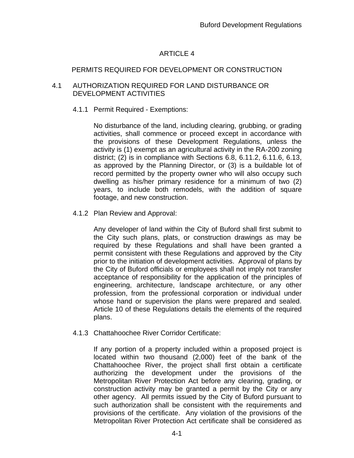# ARTICLE 4

# PERMITS REQUIRED FOR DEVELOPMENT OR CONSTRUCTION

#### 4.1 AUTHORIZATION REQUIRED FOR LAND DISTURBANCE OR DEVELOPMENT ACTIVITIES

# 4.1.1 Permit Required - Exemptions:

No disturbance of the land, including clearing, grubbing, or grading activities, shall commence or proceed except in accordance with the provisions of these Development Regulations, unless the activity is (1) exempt as an agricultural activity in the RA-200 zoning district; (2) is in compliance with Sections 6.8, 6.11.2, 6.11.6, 6.13, as approved by the Planning Director, or (3) is a buildable lot of record permitted by the property owner who will also occupy such dwelling as his/her primary residence for a minimum of two (2) years, to include both remodels, with the addition of square footage, and new construction.

# 4.1.2 Plan Review and Approval:

Any developer of land within the City of Buford shall first submit to the City such plans, plats, or construction drawings as may be required by these Regulations and shall have been granted a permit consistent with these Regulations and approved by the City prior to the initiation of development activities. Approval of plans by the City of Buford officials or employees shall not imply not transfer acceptance of responsibility for the application of the principles of engineering, architecture, landscape architecture, or any other profession, from the professional corporation or individual under whose hand or supervision the plans were prepared and sealed. Article 10 of these Regulations details the elements of the required plans.

# 4.1.3 Chattahoochee River Corridor Certificate:

If any portion of a property included within a proposed project is located within two thousand (2,000) feet of the bank of the Chattahoochee River, the project shall first obtain a certificate authorizing the development under the provisions of the Metropolitan River Protection Act before any clearing, grading, or construction activity may be granted a permit by the City or any other agency. All permits issued by the City of Buford pursuant to such authorization shall be consistent with the requirements and provisions of the certificate. Any violation of the provisions of the Metropolitan River Protection Act certificate shall be considered as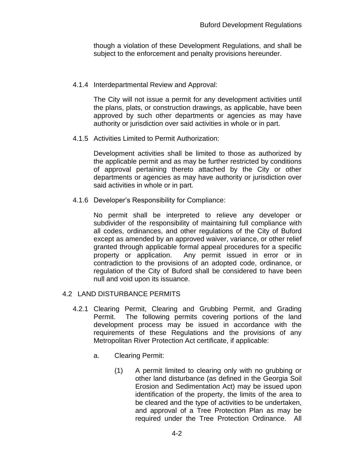though a violation of these Development Regulations, and shall be subject to the enforcement and penalty provisions hereunder.

#### 4.1.4 Interdepartmental Review and Approval:

The City will not issue a permit for any development activities until the plans, plats, or construction drawings, as applicable, have been approved by such other departments or agencies as may have authority or jurisdiction over said activities in whole or in part.

4.1.5 Activities Limited to Permit Authorization:

Development activities shall be limited to those as authorized by the applicable permit and as may be further restricted by conditions of approval pertaining thereto attached by the City or other departments or agencies as may have authority or jurisdiction over said activities in whole or in part.

4.1.6 Developer's Responsibility for Compliance:

No permit shall be interpreted to relieve any developer or subdivider of the responsibility of maintaining full compliance with all codes, ordinances, and other regulations of the City of Buford except as amended by an approved waiver, variance, or other relief granted through applicable formal appeal procedures for a specific property or application. Any permit issued in error or in contradiction to the provisions of an adopted code, ordinance, or regulation of the City of Buford shall be considered to have been null and void upon its issuance.

#### 4.2 LAND DISTURBANCE PERMITS

- 4.2.1 Clearing Permit, Clearing and Grubbing Permit, and Grading Permit. The following permits covering portions of the land development process may be issued in accordance with the requirements of these Regulations and the provisions of any Metropolitan River Protection Act certificate, if applicable:
	- a. Clearing Permit:
		- (1) A permit limited to clearing only with no grubbing or other land disturbance (as defined in the Georgia Soil Erosion and Sedimentation Act) may be issued upon identification of the property, the limits of the area to be cleared and the type of activities to be undertaken, and approval of a Tree Protection Plan as may be required under the Tree Protection Ordinance. All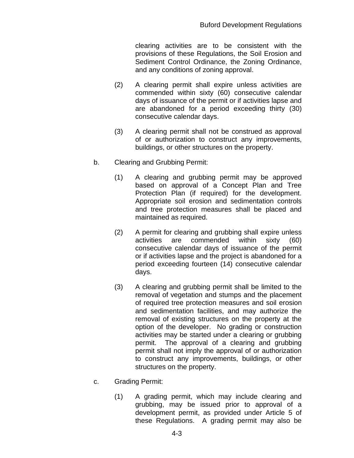clearing activities are to be consistent with the provisions of these Regulations, the Soil Erosion and Sediment Control Ordinance, the Zoning Ordinance, and any conditions of zoning approval.

- (2) A clearing permit shall expire unless activities are commended within sixty (60) consecutive calendar days of issuance of the permit or if activities lapse and are abandoned for a period exceeding thirty (30) consecutive calendar days.
- (3) A clearing permit shall not be construed as approval of or authorization to construct any improvements, buildings, or other structures on the property.
- b. Clearing and Grubbing Permit:
	- (1) A clearing and grubbing permit may be approved based on approval of a Concept Plan and Tree Protection Plan (if required) for the development. Appropriate soil erosion and sedimentation controls and tree protection measures shall be placed and maintained as required.
	- (2) A permit for clearing and grubbing shall expire unless activities are commended within sixty (60) consecutive calendar days of issuance of the permit or if activities lapse and the project is abandoned for a period exceeding fourteen (14) consecutive calendar days.
	- (3) A clearing and grubbing permit shall be limited to the removal of vegetation and stumps and the placement of required tree protection measures and soil erosion and sedimentation facilities, and may authorize the removal of existing structures on the property at the option of the developer. No grading or construction activities may be started under a clearing or grubbing permit. The approval of a clearing and grubbing permit shall not imply the approval of or authorization to construct any improvements, buildings, or other structures on the property.
- c. Grading Permit:
	- (1) A grading permit, which may include clearing and grubbing, may be issued prior to approval of a development permit, as provided under Article 5 of these Regulations. A grading permit may also be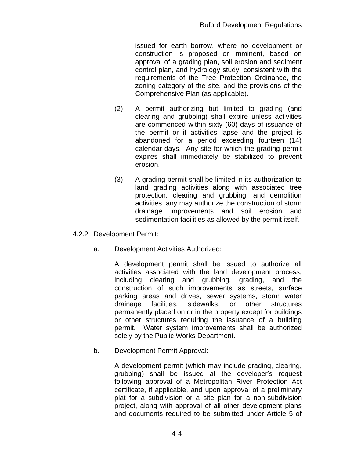issued for earth borrow, where no development or construction is proposed or imminent, based on approval of a grading plan, soil erosion and sediment control plan, and hydrology study, consistent with the requirements of the Tree Protection Ordinance, the zoning category of the site, and the provisions of the Comprehensive Plan (as applicable).

- (2) A permit authorizing but limited to grading (and clearing and grubbing) shall expire unless activities are commenced within sixty (60) days of issuance of the permit or if activities lapse and the project is abandoned for a period exceeding fourteen (14) calendar days. Any site for which the grading permit expires shall immediately be stabilized to prevent erosion.
- (3) A grading permit shall be limited in its authorization to land grading activities along with associated tree protection, clearing and grubbing, and demolition activities, any may authorize the construction of storm drainage improvements and soil erosion and sedimentation facilities as allowed by the permit itself.
- 4.2.2 Development Permit:
	- a. Development Activities Authorized:

A development permit shall be issued to authorize all activities associated with the land development process, including clearing and grubbing, grading, and the construction of such improvements as streets, surface parking areas and drives, sewer systems, storm water drainage facilities, sidewalks, or other structures permanently placed on or in the property except for buildings or other structures requiring the issuance of a building permit. Water system improvements shall be authorized solely by the Public Works Department.

b. Development Permit Approval:

A development permit (which may include grading, clearing, grubbing) shall be issued at the developer's request following approval of a Metropolitan River Protection Act certificate, if applicable, and upon approval of a preliminary plat for a subdivision or a site plan for a non-subdivision project, along with approval of all other development plans and documents required to be submitted under Article 5 of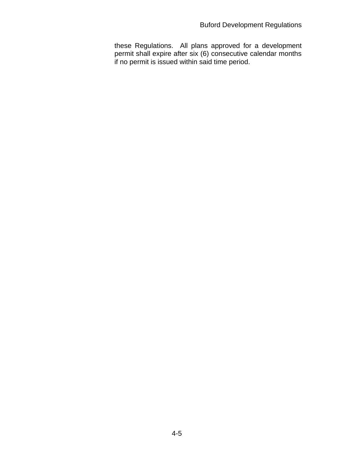these Regulations. All plans approved for a development permit shall expire after six (6) consecutive calendar months if no permit is issued within said time period.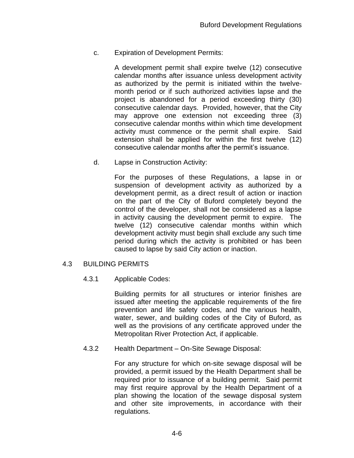c. Expiration of Development Permits:

A development permit shall expire twelve (12) consecutive calendar months after issuance unless development activity as authorized by the permit is initiated within the twelvemonth period or if such authorized activities lapse and the project is abandoned for a period exceeding thirty (30) consecutive calendar days. Provided, however, that the City may approve one extension not exceeding three (3) consecutive calendar months within which time development activity must commence or the permit shall expire. Said extension shall be applied for within the first twelve (12) consecutive calendar months after the permit's issuance.

d. Lapse in Construction Activity:

For the purposes of these Regulations, a lapse in or suspension of development activity as authorized by a development permit, as a direct result of action or inaction on the part of the City of Buford completely beyond the control of the developer, shall not be considered as a lapse in activity causing the development permit to expire. The twelve (12) consecutive calendar months within which development activity must begin shall exclude any such time period during which the activity is prohibited or has been caused to lapse by said City action or inaction.

#### 4.3 BUILDING PERMITS

4.3.1 Applicable Codes:

Building permits for all structures or interior finishes are issued after meeting the applicable requirements of the fire prevention and life safety codes, and the various health, water, sewer, and building codes of the City of Buford, as well as the provisions of any certificate approved under the Metropolitan River Protection Act, if applicable.

4.3.2 Health Department – On-Site Sewage Disposal:

For any structure for which on-site sewage disposal will be provided, a permit issued by the Health Department shall be required prior to issuance of a building permit. Said permit may first require approval by the Health Department of a plan showing the location of the sewage disposal system and other site improvements, in accordance with their regulations.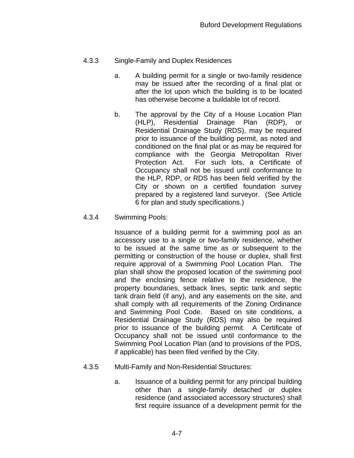# 4.3.3 Single-Family and Duplex Residences

- a. A building permit for a single or two-family residence may be issued after the recording of a final plat or after the lot upon which the building is to be located has otherwise become a buildable lot of record.
- b. The approval by the City of a House Location Plan (HLP), Residential Drainage Plan (RDP), or Residential Drainage Study (RDS), may be required prior to issuance of the building permit, as noted and conditioned on the final plat or as may be required for compliance with the Georgia Metropolitan River Protection Act. For such lots, a Certificate of Occupancy shall not be issued until conformance to the HLP, RDP, or RDS has been field verified by the City or shown on a certified foundation survey prepared by a registered land surveyor. (See Article 6 for plan and study specifications.)

#### 4.3.4 Swimming Pools:

Issuance of a building permit for a swimming pool as an accessory use to a single or two-family residence, whether to be issued at the same time as or subsequent to the permitting or construction of the house or duplex, shall first require approval of a Swimming Pool Location Plan. The plan shall show the proposed location of the swimming pool and the enclosing fence relative to the residence, the property boundaries, setback lines, septic tank and septic tank drain field (if any), and any easements on the site, and shall comply with all requirements of the Zoning Ordinance and Swimming Pool Code. Based on site conditions, a Residential Drainage Study (RDS) may also be required prior to issuance of the building permit. A Certificate of Occupancy shall not be issued until conformance to the Swimming Pool Location Plan (and to provisions of the PDS, if applicable) has been filed verified by the City.

#### 4.3.5 Multi-Family and Non-Residential Structures:

a. Issuance of a building permit for any principal building other than a single-family detached or duplex residence (and associated accessory structures) shall first require issuance of a development permit for the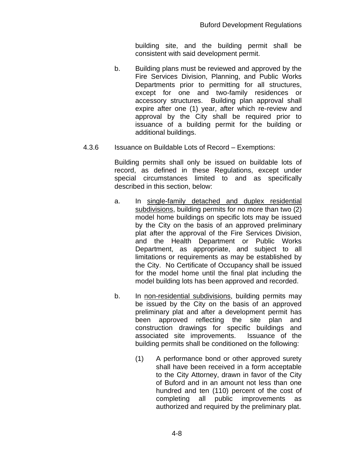building site, and the building permit shall be consistent with said development permit.

- b. Building plans must be reviewed and approved by the Fire Services Division, Planning, and Public Works Departments prior to permitting for all structures, except for one and two-family residences or accessory structures. Building plan approval shall expire after one (1) year, after which re-review and approval by the City shall be required prior to issuance of a building permit for the building or additional buildings.
- 4.3.6 Issuance on Buildable Lots of Record Exemptions:

Building permits shall only be issued on buildable lots of record, as defined in these Regulations, except under special circumstances limited to and as specifically described in this section, below:

- a. In single-family detached and duplex residential subdivisions, building permits for no more than two (2) model home buildings on specific lots may be issued by the City on the basis of an approved preliminary plat after the approval of the Fire Services Division, and the Health Department or Public Works Department, as appropriate, and subject to all limitations or requirements as may be established by the City. No Certificate of Occupancy shall be issued for the model home until the final plat including the model building lots has been approved and recorded.
- b. In non-residential subdivisions, building permits may be issued by the City on the basis of an approved preliminary plat and after a development permit has been approved reflecting the site plan and construction drawings for specific buildings and associated site improvements. Issuance of the building permits shall be conditioned on the following:
	- (1) A performance bond or other approved surety shall have been received in a form acceptable to the City Attorney, drawn in favor of the City of Buford and in an amount not less than one hundred and ten (110) percent of the cost of completing all public improvements as authorized and required by the preliminary plat.